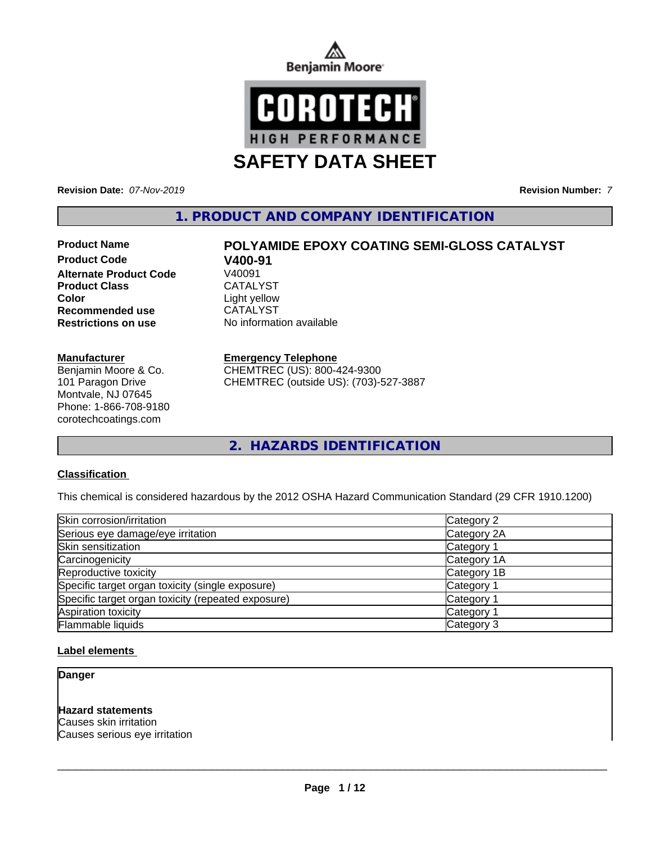



**Revision Date:** *07-Nov-2019* **Revision Number:** *7*

**1. PRODUCT AND COMPANY IDENTIFICATION**

# **Product Code V400-91 Alternate Product Code** Product Class CATALYST **Color**<br> **Recommended use**<br>
CATALYST **Recommended use Restrictions on use** No information available

#### **Manufacturer**

Benjamin Moore & Co. 101 Paragon Drive Montvale, NJ 07645 Phone: 1-866-708-9180 corotechcoatings.com

# **Product Name POLYAMIDE EPOXY COATING SEMI-GLOSS CATALYST**

#### **Emergency Telephone**

CHEMTREC (US): 800-424-9300 CHEMTREC (outside US): (703)-527-3887

**2. HAZARDS IDENTIFICATION**

#### **Classification**

This chemical is considered hazardous by the 2012 OSHA Hazard Communication Standard (29 CFR 1910.1200)

| Skin corrosion/irritation                          | Category 2            |
|----------------------------------------------------|-----------------------|
| Serious eye damage/eye irritation                  | Category 2A           |
| Skin sensitization                                 | Category <sup>2</sup> |
| Carcinogenicity                                    | Category 1A           |
| Reproductive toxicity                              | Category 1B           |
| Specific target organ toxicity (single exposure)   | Category 1            |
| Specific target organ toxicity (repeated exposure) | Category 1            |
| Aspiration toxicity                                | Category <sup>2</sup> |
| Flammable liquids                                  | Category 3            |

#### **Label elements**

#### **Danger**

#### **Hazard statements**

Causes skin irritation Causes serious eye irritation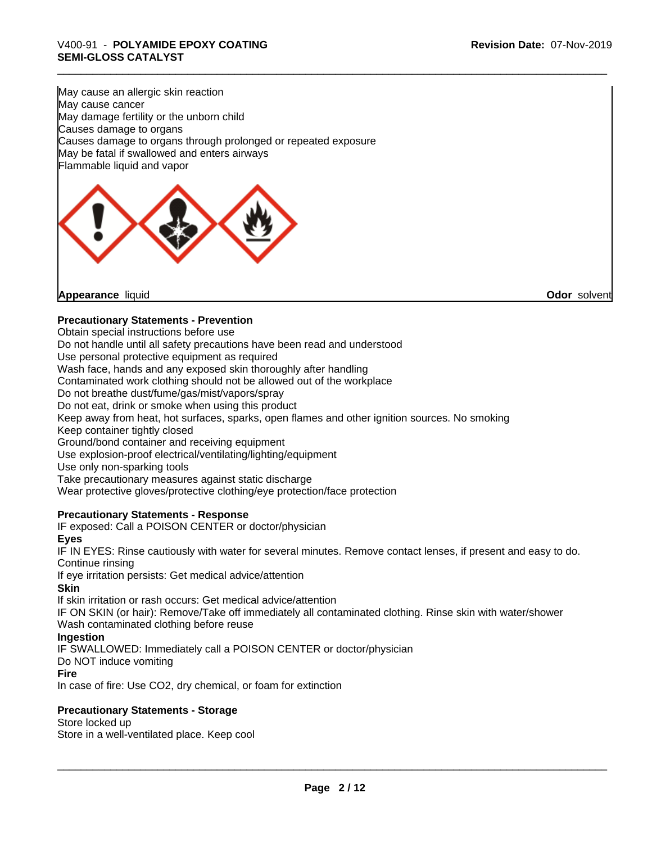May cause an allergic skin reaction May cause cancer May damage fertility or the unborn child Causes damage to organs Causes damage to organs through prolonged or repeated exposure May be fatal if swallowed and enters airways Flammable liquid and vapor



#### **Precautionary Statements - Prevention**

Obtain special instructions before use

Do not handle until all safety precautions have been read and understood

Use personal protective equipment as required

Wash face, hands and any exposed skin thoroughly after handling

Contaminated work clothing should not be allowed out of the workplace

Do not breathe dust/fume/gas/mist/vapors/spray

Do not eat, drink or smoke when using this product

Keep away from heat, hot surfaces, sparks, open flames and other ignition sources. No smoking

Keep container tightly closed

Ground/bond container and receiving equipment

Use explosion-proof electrical/ventilating/lighting/equipment

Use only non-sparking tools

Take precautionary measures against static discharge

Wear protective gloves/protective clothing/eye protection/face protection

#### **Precautionary Statements - Response**

IF exposed: Call a POISON CENTER or doctor/physician

#### **Eyes**

IF IN EYES: Rinse cautiously with water for several minutes. Remove contact lenses, if present and easy to do. Continue rinsing

If eye irritation persists: Get medical advice/attention

#### **Skin**

If skin irritation or rash occurs: Get medical advice/attention

IF ON SKIN (or hair): Remove/Take off immediately all contaminated clothing. Rinse skin with water/shower Wash contaminated clothing before reuse

#### **Ingestion**

IF SWALLOWED: Immediately call a POISON CENTER or doctor/physician

Do NOT induce vomiting

#### **Fire**

In case of fire: Use CO2, dry chemical, or foam for extinction

#### **Precautionary Statements - Storage**

Store locked up Store in a well-ventilated place. Keep cool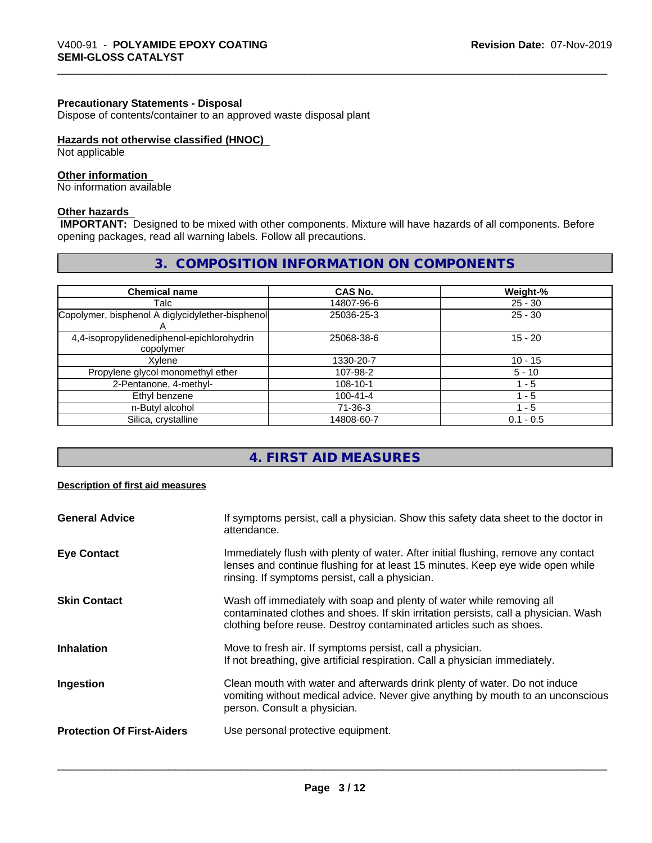#### **Precautionary Statements - Disposal**

Dispose of contents/container to an approved waste disposal plant

#### **Hazards not otherwise classified (HNOC)**

Not applicable

## **Other information**

No information available

#### **Other hazards**

 **IMPORTANT:** Designed to be mixed with other components. Mixture will have hazards of all components. Before opening packages, read all warning labels. Follow all precautions.

# **3. COMPOSITION INFORMATION ON COMPONENTS**

| <b>Chemical name</b>                                    | CAS No.        | Weight-%    |
|---------------------------------------------------------|----------------|-------------|
| Talc                                                    | 14807-96-6     | $25 - 30$   |
| Copolymer, bisphenol A diglycidylether-bisphenol        | 25036-25-3     | $25 - 30$   |
| 4,4-isopropylidenediphenol-epichlorohydrin<br>copolymer | 25068-38-6     | $15 - 20$   |
| Xvlene                                                  | 1330-20-7      | $10 - 15$   |
| Propylene glycol monomethyl ether                       | 107-98-2       | $5 - 10$    |
| 2-Pentanone, 4-methyl-                                  | 108-10-1       | 1 - 5       |
| Ethyl benzene                                           | $100 - 41 - 4$ | l - 5       |
| n-Butyl alcohol                                         | 71-36-3        | l - 5       |
| Silica, crystalline                                     | 14808-60-7     | $0.1 - 0.5$ |

# **4. FIRST AID MEASURES**

#### **Description of first aid measures**

| <b>General Advice</b>             | If symptoms persist, call a physician. Show this safety data sheet to the doctor in<br>attendance.                                                                                                                                  |
|-----------------------------------|-------------------------------------------------------------------------------------------------------------------------------------------------------------------------------------------------------------------------------------|
| <b>Eye Contact</b>                | Immediately flush with plenty of water. After initial flushing, remove any contact<br>lenses and continue flushing for at least 15 minutes. Keep eye wide open while<br>rinsing. If symptoms persist, call a physician.             |
| <b>Skin Contact</b>               | Wash off immediately with soap and plenty of water while removing all<br>contaminated clothes and shoes. If skin irritation persists, call a physician. Wash<br>clothing before reuse. Destroy contaminated articles such as shoes. |
| <b>Inhalation</b>                 | Move to fresh air. If symptoms persist, call a physician.<br>If not breathing, give artificial respiration. Call a physician immediately.                                                                                           |
| Ingestion                         | Clean mouth with water and afterwards drink plenty of water. Do not induce<br>vomiting without medical advice. Never give anything by mouth to an unconscious<br>person. Consult a physician.                                       |
| <b>Protection Of First-Aiders</b> | Use personal protective equipment.                                                                                                                                                                                                  |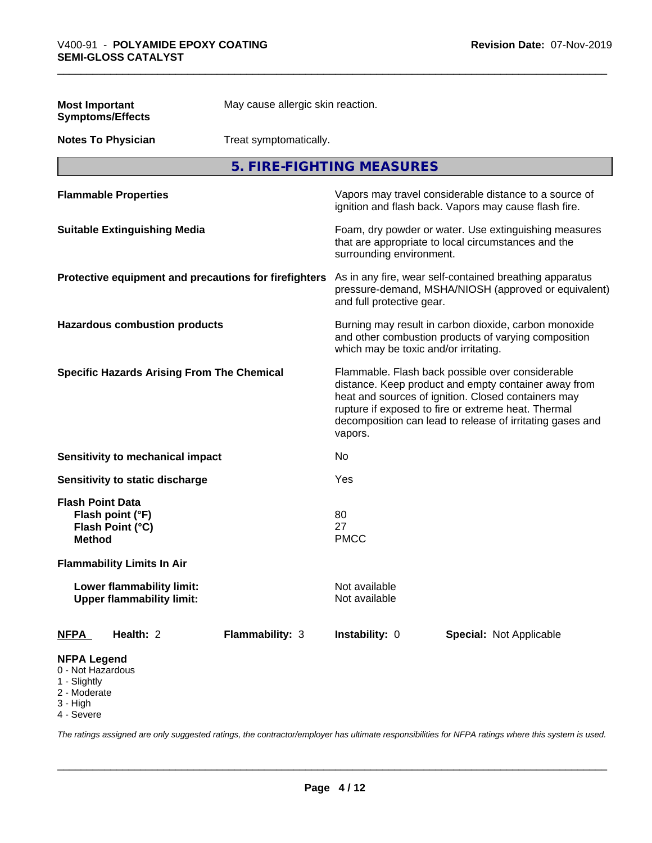| <b>Most Important</b>                                                               | <b>Symptoms/Effects</b>                                       | May cause allergic skin reaction.                     |                                       |                                                                                                                                                                                                                                                                                     |  |
|-------------------------------------------------------------------------------------|---------------------------------------------------------------|-------------------------------------------------------|---------------------------------------|-------------------------------------------------------------------------------------------------------------------------------------------------------------------------------------------------------------------------------------------------------------------------------------|--|
|                                                                                     | <b>Notes To Physician</b><br>Treat symptomatically.           |                                                       |                                       |                                                                                                                                                                                                                                                                                     |  |
|                                                                                     |                                                               |                                                       | 5. FIRE-FIGHTING MEASURES             |                                                                                                                                                                                                                                                                                     |  |
|                                                                                     | <b>Flammable Properties</b>                                   |                                                       |                                       | Vapors may travel considerable distance to a source of<br>ignition and flash back. Vapors may cause flash fire.                                                                                                                                                                     |  |
|                                                                                     | <b>Suitable Extinguishing Media</b>                           |                                                       | surrounding environment.              | Foam, dry powder or water. Use extinguishing measures<br>that are appropriate to local circumstances and the                                                                                                                                                                        |  |
|                                                                                     |                                                               | Protective equipment and precautions for firefighters | and full protective gear.             | As in any fire, wear self-contained breathing apparatus<br>pressure-demand, MSHA/NIOSH (approved or equivalent)                                                                                                                                                                     |  |
|                                                                                     | <b>Hazardous combustion products</b>                          |                                                       | which may be toxic and/or irritating. | Burning may result in carbon dioxide, carbon monoxide<br>and other combustion products of varying composition                                                                                                                                                                       |  |
|                                                                                     | <b>Specific Hazards Arising From The Chemical</b>             |                                                       | vapors.                               | Flammable. Flash back possible over considerable<br>distance. Keep product and empty container away from<br>heat and sources of ignition. Closed containers may<br>rupture if exposed to fire or extreme heat. Thermal<br>decomposition can lead to release of irritating gases and |  |
|                                                                                     | <b>Sensitivity to mechanical impact</b>                       |                                                       | No                                    |                                                                                                                                                                                                                                                                                     |  |
|                                                                                     | Sensitivity to static discharge                               |                                                       | Yes                                   |                                                                                                                                                                                                                                                                                     |  |
| <b>Flash Point Data</b><br><b>Method</b>                                            | Flash point (°F)<br>Flash Point (°C)                          |                                                       | 80<br>27<br><b>PMCC</b>               |                                                                                                                                                                                                                                                                                     |  |
|                                                                                     | <b>Flammability Limits In Air</b>                             |                                                       |                                       |                                                                                                                                                                                                                                                                                     |  |
|                                                                                     | Lower flammability limit:<br><b>Upper flammability limit:</b> |                                                       | Not available<br>Not available        |                                                                                                                                                                                                                                                                                     |  |
| <u>NFPA</u>                                                                         | Health: 2                                                     | Flammability: 3                                       | Instability: 0                        | Special: Not Applicable                                                                                                                                                                                                                                                             |  |
| <b>NFPA Legend</b><br>0 - Not Hazardous<br>1 - Slightly<br>2 - Moderate<br>3 - High |                                                               |                                                       |                                       |                                                                                                                                                                                                                                                                                     |  |

4 - Severe

*The ratings assigned are only suggested ratings, the contractor/employer has ultimate responsibilities for NFPA ratings where this system is used.*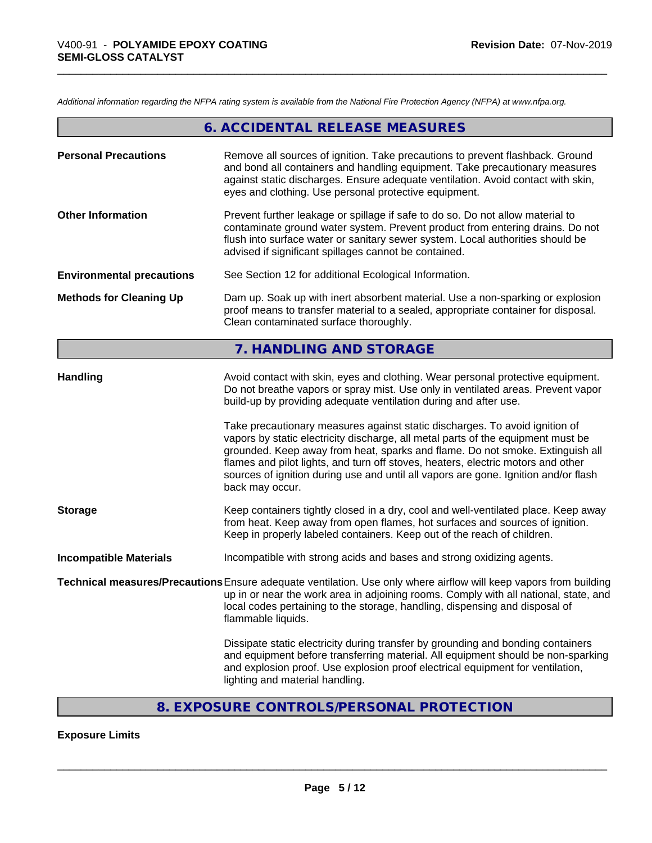*Additional information regarding the NFPA rating system is available from the National Fire Protection Agency (NFPA) at www.nfpa.org.*

|                                  | 6. ACCIDENTAL RELEASE MEASURES                                                                                                                                                                                                                                                                                                                                                                                                                 |
|----------------------------------|------------------------------------------------------------------------------------------------------------------------------------------------------------------------------------------------------------------------------------------------------------------------------------------------------------------------------------------------------------------------------------------------------------------------------------------------|
| <b>Personal Precautions</b>      | Remove all sources of ignition. Take precautions to prevent flashback. Ground<br>and bond all containers and handling equipment. Take precautionary measures<br>against static discharges. Ensure adequate ventilation. Avoid contact with skin,<br>eyes and clothing. Use personal protective equipment.                                                                                                                                      |
| <b>Other Information</b>         | Prevent further leakage or spillage if safe to do so. Do not allow material to<br>contaminate ground water system. Prevent product from entering drains. Do not<br>flush into surface water or sanitary sewer system. Local authorities should be<br>advised if significant spillages cannot be contained.                                                                                                                                     |
| <b>Environmental precautions</b> | See Section 12 for additional Ecological Information.                                                                                                                                                                                                                                                                                                                                                                                          |
| <b>Methods for Cleaning Up</b>   | Dam up. Soak up with inert absorbent material. Use a non-sparking or explosion<br>proof means to transfer material to a sealed, appropriate container for disposal.<br>Clean contaminated surface thoroughly.                                                                                                                                                                                                                                  |
|                                  | 7. HANDLING AND STORAGE                                                                                                                                                                                                                                                                                                                                                                                                                        |
| <b>Handling</b>                  | Avoid contact with skin, eyes and clothing. Wear personal protective equipment.<br>Do not breathe vapors or spray mist. Use only in ventilated areas. Prevent vapor<br>build-up by providing adequate ventilation during and after use.                                                                                                                                                                                                        |
|                                  | Take precautionary measures against static discharges. To avoid ignition of<br>vapors by static electricity discharge, all metal parts of the equipment must be<br>grounded. Keep away from heat, sparks and flame. Do not smoke. Extinguish all<br>flames and pilot lights, and turn off stoves, heaters, electric motors and other<br>sources of ignition during use and until all vapors are gone. Ignition and/or flash<br>back may occur. |
| <b>Storage</b>                   | Keep containers tightly closed in a dry, cool and well-ventilated place. Keep away<br>from heat. Keep away from open flames, hot surfaces and sources of ignition.<br>Keep in properly labeled containers. Keep out of the reach of children.                                                                                                                                                                                                  |
| <b>Incompatible Materials</b>    | Incompatible with strong acids and bases and strong oxidizing agents.                                                                                                                                                                                                                                                                                                                                                                          |
|                                  | Technical measures/Precautions Ensure adequate ventilation. Use only where airflow will keep vapors from building<br>up in or near the work area in adjoining rooms. Comply with all national, state, and<br>local codes pertaining to the storage, handling, dispensing and disposal of<br>flammable liquids.                                                                                                                                 |
|                                  | Dissipate static electricity during transfer by grounding and bonding containers<br>and equipment before transferring material. All equipment should be non-sparking<br>and explosion proof. Use explosion proof electrical equipment for ventilation,<br>lighting and material handling.                                                                                                                                                      |
|                                  |                                                                                                                                                                                                                                                                                                                                                                                                                                                |

# **8. EXPOSURE CONTROLS/PERSONAL PROTECTION**

# **Exposure Limits**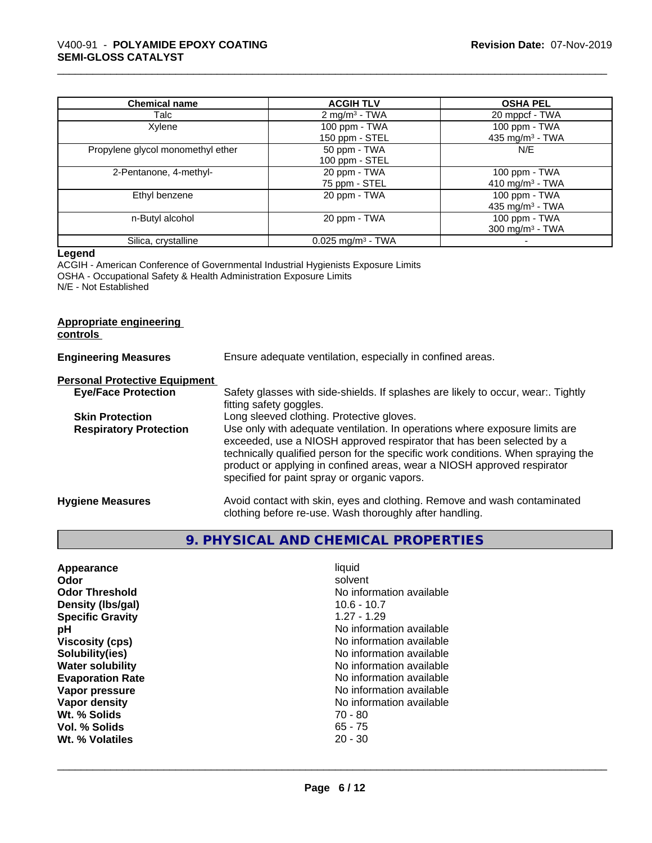| <b>Chemical name</b>              | <b>ACGIH TLV</b>                | <b>OSHA PEL</b>             |
|-----------------------------------|---------------------------------|-----------------------------|
| Talc                              | 2 mg/m <sup>3</sup> - TWA       | 20 mppcf - TWA              |
| Xylene                            | 100 ppm - TWA                   | $100$ ppm $-$ TWA           |
|                                   | 150 ppm - STEL                  | 435 mg/m $3$ - TWA          |
| Propylene glycol monomethyl ether | 50 ppm - TWA                    | N/E                         |
|                                   | 100 ppm - STEL                  |                             |
| 2-Pentanone, 4-methyl-            | 20 ppm - TWA                    | 100 ppm - TWA               |
|                                   | 75 ppm - STEL                   | 410 mg/m <sup>3</sup> - TWA |
| Ethyl benzene                     | 20 ppm - TWA                    | $100$ ppm $-$ TWA           |
|                                   |                                 | 435 mg/m $3$ - TWA          |
| n-Butyl alcohol                   | 20 ppm - TWA                    | 100 ppm - TWA               |
|                                   |                                 | 300 mg/m <sup>3</sup> - TWA |
| Silica, crystalline               | $0.025$ mg/m <sup>3</sup> - TWA |                             |

#### **Legend**

ACGIH - American Conference of Governmental Industrial Hygienists Exposure Limits OSHA - Occupational Safety & Health Administration Exposure Limits N/E - Not Established

#### **Appropriate engineering controls**

| <b>Engineering Measures</b>          | Ensure adequate ventilation, especially in confined areas.                                                                                                                                                                                                                                                                                                          |
|--------------------------------------|---------------------------------------------------------------------------------------------------------------------------------------------------------------------------------------------------------------------------------------------------------------------------------------------------------------------------------------------------------------------|
| <b>Personal Protective Equipment</b> |                                                                                                                                                                                                                                                                                                                                                                     |
| <b>Eye/Face Protection</b>           | Safety glasses with side-shields. If splashes are likely to occur, wear:. Tightly<br>fitting safety goggles.                                                                                                                                                                                                                                                        |
| <b>Skin Protection</b>               | Long sleeved clothing. Protective gloves.                                                                                                                                                                                                                                                                                                                           |
| <b>Respiratory Protection</b>        | Use only with adequate ventilation. In operations where exposure limits are<br>exceeded, use a NIOSH approved respirator that has been selected by a<br>technically qualified person for the specific work conditions. When spraying the<br>product or applying in confined areas, wear a NIOSH approved respirator<br>specified for paint spray or organic vapors. |
| <b>Hygiene Measures</b>              | Avoid contact with skin, eyes and clothing. Remove and wash contaminated<br>clothing before re-use. Wash thoroughly after handling.                                                                                                                                                                                                                                 |

# **9. PHYSICAL AND CHEMICAL PROPERTIES**

| No information available<br><b>Odor Threshold</b><br>Density (Ibs/gal)<br>$10.6 - 10.7$<br>$1.27 - 1.29$<br><b>Specific Gravity</b><br>No information available<br>рH<br><b>Viscosity (cps)</b><br>No information available<br>No information available<br>Solubility(ies)<br>No information available<br><b>Water solubility</b><br><b>Evaporation Rate</b><br>No information available<br>No information available<br>Vapor pressure<br>No information available<br>Vapor density<br>Wt. % Solids<br>$70 - 80$<br>$65 - 75$<br>Vol. % Solids<br>$20 - 30$<br>Wt. % Volatiles | Appearance<br>Odor | liquid<br>solvent |  |
|--------------------------------------------------------------------------------------------------------------------------------------------------------------------------------------------------------------------------------------------------------------------------------------------------------------------------------------------------------------------------------------------------------------------------------------------------------------------------------------------------------------------------------------------------------------------------------|--------------------|-------------------|--|
|--------------------------------------------------------------------------------------------------------------------------------------------------------------------------------------------------------------------------------------------------------------------------------------------------------------------------------------------------------------------------------------------------------------------------------------------------------------------------------------------------------------------------------------------------------------------------------|--------------------|-------------------|--|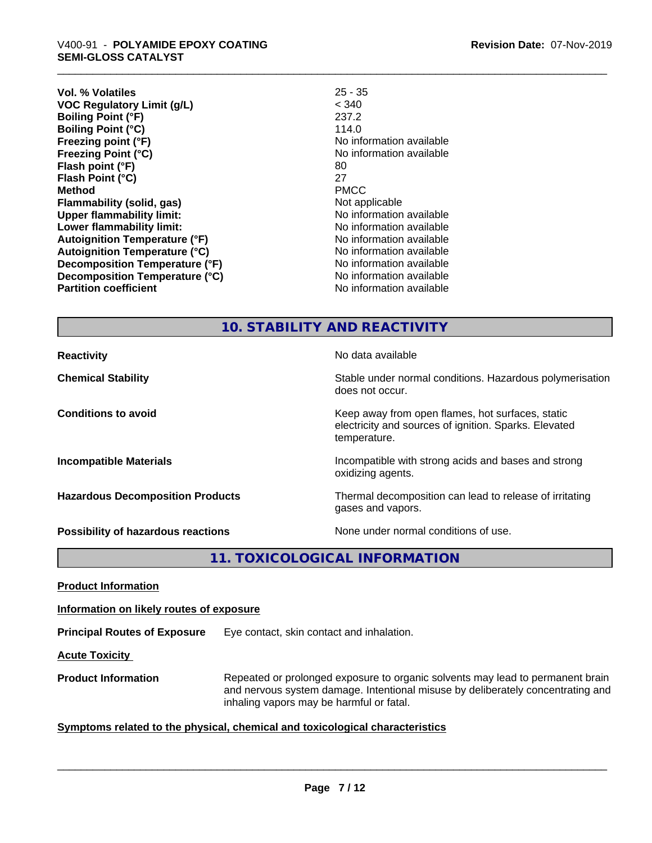| < 340<br><b>VOC Regulatory Limit (g/L)</b><br>237.2<br><b>Boiling Point (°F)</b><br>114.0<br><b>Boiling Point (°C)</b><br>No information available<br>Freezing point (°F)<br>No information available<br><b>Freezing Point (°C)</b><br>80<br>Flash point (°F)<br>27<br>Flash Point (°C)<br><b>PMCC</b><br><b>Method</b><br>Not applicable<br>Flammability (solid, gas)<br>No information available<br><b>Upper flammability limit:</b><br>No information available<br>Lower flammability limit:<br>No information available<br><b>Autoignition Temperature (°F)</b><br>No information available<br><b>Autoignition Temperature (°C)</b><br>Decomposition Temperature (°F)<br>No information available<br>Decomposition Temperature (°C)<br>No information available<br><b>Partition coefficient</b><br>No information available | Vol. % Volatiles | $25 - 35$ |
|---------------------------------------------------------------------------------------------------------------------------------------------------------------------------------------------------------------------------------------------------------------------------------------------------------------------------------------------------------------------------------------------------------------------------------------------------------------------------------------------------------------------------------------------------------------------------------------------------------------------------------------------------------------------------------------------------------------------------------------------------------------------------------------------------------------------------------|------------------|-----------|
|                                                                                                                                                                                                                                                                                                                                                                                                                                                                                                                                                                                                                                                                                                                                                                                                                                 |                  |           |
|                                                                                                                                                                                                                                                                                                                                                                                                                                                                                                                                                                                                                                                                                                                                                                                                                                 |                  |           |
|                                                                                                                                                                                                                                                                                                                                                                                                                                                                                                                                                                                                                                                                                                                                                                                                                                 |                  |           |
|                                                                                                                                                                                                                                                                                                                                                                                                                                                                                                                                                                                                                                                                                                                                                                                                                                 |                  |           |
|                                                                                                                                                                                                                                                                                                                                                                                                                                                                                                                                                                                                                                                                                                                                                                                                                                 |                  |           |
|                                                                                                                                                                                                                                                                                                                                                                                                                                                                                                                                                                                                                                                                                                                                                                                                                                 |                  |           |
|                                                                                                                                                                                                                                                                                                                                                                                                                                                                                                                                                                                                                                                                                                                                                                                                                                 |                  |           |
|                                                                                                                                                                                                                                                                                                                                                                                                                                                                                                                                                                                                                                                                                                                                                                                                                                 |                  |           |
|                                                                                                                                                                                                                                                                                                                                                                                                                                                                                                                                                                                                                                                                                                                                                                                                                                 |                  |           |
|                                                                                                                                                                                                                                                                                                                                                                                                                                                                                                                                                                                                                                                                                                                                                                                                                                 |                  |           |
|                                                                                                                                                                                                                                                                                                                                                                                                                                                                                                                                                                                                                                                                                                                                                                                                                                 |                  |           |
|                                                                                                                                                                                                                                                                                                                                                                                                                                                                                                                                                                                                                                                                                                                                                                                                                                 |                  |           |
|                                                                                                                                                                                                                                                                                                                                                                                                                                                                                                                                                                                                                                                                                                                                                                                                                                 |                  |           |
|                                                                                                                                                                                                                                                                                                                                                                                                                                                                                                                                                                                                                                                                                                                                                                                                                                 |                  |           |
|                                                                                                                                                                                                                                                                                                                                                                                                                                                                                                                                                                                                                                                                                                                                                                                                                                 |                  |           |
|                                                                                                                                                                                                                                                                                                                                                                                                                                                                                                                                                                                                                                                                                                                                                                                                                                 |                  |           |

# **10. STABILITY AND REACTIVITY**

| <b>Reactivity</b>                       | No data available                                                                                                         |
|-----------------------------------------|---------------------------------------------------------------------------------------------------------------------------|
| <b>Chemical Stability</b>               | Stable under normal conditions. Hazardous polymerisation<br>does not occur.                                               |
| <b>Conditions to avoid</b>              | Keep away from open flames, hot surfaces, static<br>electricity and sources of ignition. Sparks. Elevated<br>temperature. |
| <b>Incompatible Materials</b>           | Incompatible with strong acids and bases and strong<br>oxidizing agents.                                                  |
| <b>Hazardous Decomposition Products</b> | Thermal decomposition can lead to release of irritating<br>gases and vapors.                                              |
| Possibility of hazardous reactions      | None under normal conditions of use.                                                                                      |

**11. TOXICOLOGICAL INFORMATION**

**Product Information**

**Information on likely routes of exposure**

**Principal Routes of Exposure** Eye contact, skin contact and inhalation.

**Acute Toxicity** 

**Product Information** Repeated or prolonged exposure to organic solvents may lead to permanent brain and nervous system damage. Intentional misuse by deliberately concentrating and inhaling vapors may be harmful or fatal.

#### **<u>Symptoms related to the physical, chemical and toxicological characteristics</u>**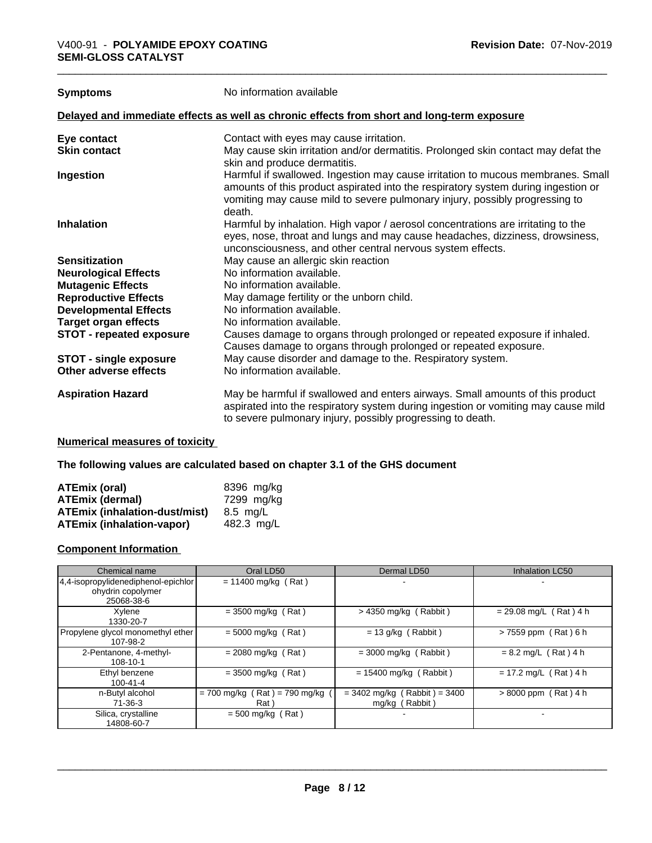**Symptoms** No information available

#### **Delayed and immediate effects as well as chronic effects from short and long-term exposure**

| Eye contact                     | Contact with eyes may cause irritation.                                                                                                                                                                                                                       |
|---------------------------------|---------------------------------------------------------------------------------------------------------------------------------------------------------------------------------------------------------------------------------------------------------------|
| <b>Skin contact</b>             | May cause skin irritation and/or dermatitis. Prolonged skin contact may defat the<br>skin and produce dermatitis.                                                                                                                                             |
| Ingestion                       | Harmful if swallowed. Ingestion may cause irritation to mucous membranes. Small<br>amounts of this product aspirated into the respiratory system during ingestion or<br>vomiting may cause mild to severe pulmonary injury, possibly progressing to<br>death. |
| <b>Inhalation</b>               | Harmful by inhalation. High vapor / aerosol concentrations are irritating to the<br>eyes, nose, throat and lungs and may cause headaches, dizziness, drowsiness,<br>unconsciousness, and other central nervous system effects.                                |
| <b>Sensitization</b>            | May cause an allergic skin reaction                                                                                                                                                                                                                           |
| <b>Neurological Effects</b>     | No information available.                                                                                                                                                                                                                                     |
| <b>Mutagenic Effects</b>        | No information available.                                                                                                                                                                                                                                     |
| <b>Reproductive Effects</b>     | May damage fertility or the unborn child.                                                                                                                                                                                                                     |
| <b>Developmental Effects</b>    | No information available.                                                                                                                                                                                                                                     |
| <b>Target organ effects</b>     | No information available.                                                                                                                                                                                                                                     |
| <b>STOT - repeated exposure</b> | Causes damage to organs through prolonged or repeated exposure if inhaled.<br>Causes damage to organs through prolonged or repeated exposure.                                                                                                                 |
| <b>STOT - single exposure</b>   | May cause disorder and damage to the. Respiratory system.                                                                                                                                                                                                     |
| Other adverse effects           | No information available.                                                                                                                                                                                                                                     |
| <b>Aspiration Hazard</b>        | May be harmful if swallowed and enters airways. Small amounts of this product<br>aspirated into the respiratory system during ingestion or vomiting may cause mild<br>to severe pulmonary injury, possibly progressing to death.                              |
|                                 |                                                                                                                                                                                                                                                               |

#### **Numerical measures of toxicity**

#### **The following values are calculated based on chapter 3.1 of the GHS document**

| <b>ATEmix (oral)</b>                 | 8396 mg/ka |
|--------------------------------------|------------|
| <b>ATEmix (dermal)</b>               | 7299 mg/kg |
| <b>ATEmix (inhalation-dust/mist)</b> | 8.5 ma/L   |
| <b>ATEmix (inhalation-vapor)</b>     | 482.3 ma/L |

#### **Component Information**

| Chemical name                                                          | Oral LD50                                | Dermal LD50                                      | Inhalation LC50          |
|------------------------------------------------------------------------|------------------------------------------|--------------------------------------------------|--------------------------|
| 4,4-isopropylidenediphenol-epichlor<br>ohydrin copolymer<br>25068-38-6 | $= 11400$ mg/kg (Rat)                    |                                                  | ۰                        |
| Xylene<br>1330-20-7                                                    | $= 3500$ mg/kg (Rat)                     | $>$ 4350 mg/kg (Rabbit)                          | $= 29.08$ mg/L (Rat) 4 h |
| Propylene glycol monomethyl ether<br>107-98-2                          | $= 5000$ mg/kg (Rat)                     | $= 13$ g/kg (Rabbit)                             | >7559 ppm (Rat) 6 h      |
| 2-Pentanone, 4-methyl-<br>$108 - 10 - 1$                               | $= 2080$ mg/kg (Rat)                     | $=$ 3000 mg/kg (Rabbit)                          | $= 8.2$ mg/L (Rat) 4 h   |
| Ethyl benzene<br>$100 - 41 - 4$                                        | $= 3500$ mg/kg (Rat)                     | $= 15400$ mg/kg (Rabbit)                         | $= 17.2$ mg/L (Rat) 4 h  |
| n-Butyl alcohol<br>71-36-3                                             | $= 700$ mg/kg (Rat) = 790 mg/kg<br>Rat ) | $=$ 3402 mg/kg (Rabbit) = 3400<br>mg/kg (Rabbit) | $> 8000$ ppm (Rat) 4 h   |
| Silica, crystalline<br>14808-60-7                                      | $= 500$ mg/kg (Rat)                      |                                                  |                          |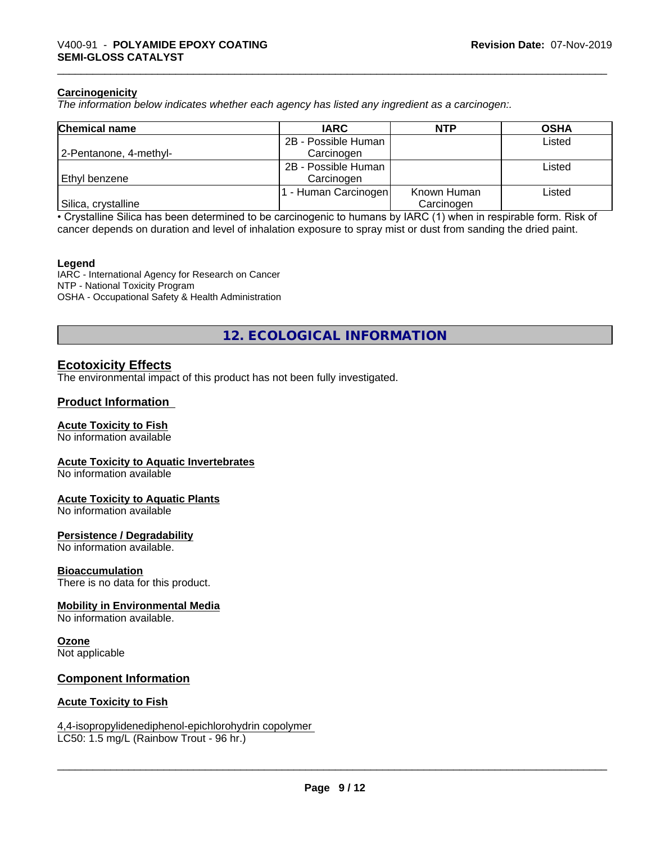#### **Carcinogenicity**

*The information below indicateswhether each agency has listed any ingredient as a carcinogen:.*

| <b>Chemical name</b>   | <b>IARC</b>         | <b>NTP</b>  | <b>OSHA</b> |
|------------------------|---------------------|-------------|-------------|
|                        | 2B - Possible Human |             | Listed      |
| 2-Pentanone, 4-methyl- | Carcinogen          |             |             |
|                        | 2B - Possible Human |             | Listed      |
| Ethyl benzene          | Carcinogen          |             |             |
|                        | - Human Carcinogen  | Known Human | Listed      |
| Silica, crystalline    |                     | Carcinogen  |             |

• Crystalline Silica has been determined to be carcinogenic to humans by IARC (1) when in respirable form. Risk of cancer depends on duration and level of inhalation exposure to spray mist or dust from sanding the dried paint.

#### **Legend**

IARC - International Agency for Research on Cancer NTP - National Toxicity Program OSHA - Occupational Safety & Health Administration

**12. ECOLOGICAL INFORMATION**

### **Ecotoxicity Effects**

The environmental impact of this product has not been fully investigated.

#### **Product Information**

#### **Acute Toxicity to Fish**

No information available

#### **Acute Toxicity to Aquatic Invertebrates**

No information available

#### **Acute Toxicity to Aquatic Plants**

No information available

#### **Persistence / Degradability**

No information available.

#### **Bioaccumulation**

There is no data for this product.

#### **Mobility in Environmental Media**

No information available.

# **Ozone**

Not applicable

#### **Component Information**

#### **Acute Toxicity to Fish**

#### 4,4-isopropylidenediphenol-epichlorohydrin copolymer LC50: 1.5 mg/L (Rainbow Trout - 96 hr.)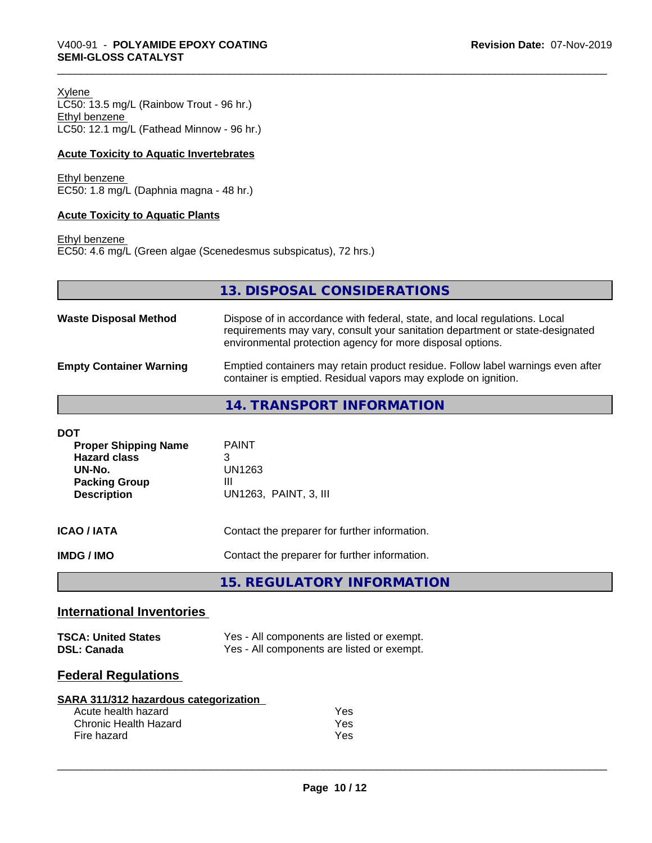Xylene LC50: 13.5 mg/L (Rainbow Trout - 96 hr.) Ethyl benzene LC50: 12.1 mg/L (Fathead Minnow - 96 hr.)

#### **Acute Toxicity to Aquatic Invertebrates**

Ethyl benzene EC50: 1.8 mg/L (Daphnia magna - 48 hr.)

#### **Acute Toxicity to Aquatic Plants**

Ethyl benzene

EC50: 4.6 mg/L (Green algae (Scenedesmus subspicatus), 72 hrs.)

|                                | 13. DISPOSAL CONSIDERATIONS                                                                                                                                                                                               |
|--------------------------------|---------------------------------------------------------------------------------------------------------------------------------------------------------------------------------------------------------------------------|
| <b>Waste Disposal Method</b>   | Dispose of in accordance with federal, state, and local regulations. Local<br>requirements may vary, consult your sanitation department or state-designated<br>environmental protection agency for more disposal options. |
| <b>Empty Container Warning</b> | Emptied containers may retain product residue. Follow label warnings even after<br>container is emptied. Residual vapors may explode on ignition.                                                                         |
|                                | 14. TRANSPORT INFORMATION                                                                                                                                                                                                 |

| DOT<br><b>Proper Shipping Name</b><br><b>Hazard class</b><br>UN-No.<br><b>Packing Group</b><br><b>Description</b> | <b>PAINT</b><br>3<br>UN1263<br>Ш<br>UN1263, PAINT, 3, III |
|-------------------------------------------------------------------------------------------------------------------|-----------------------------------------------------------|
| ICAO / IATA                                                                                                       | Contact the preparer for further information.             |
| IMDG / IMO                                                                                                        | Contact the preparer for further information.             |

**15. REGULATORY INFORMATION**

# **International Inventories**

| <b>TSCA: United States</b> | Yes - All components are listed or exempt. |
|----------------------------|--------------------------------------------|
| <b>DSL: Canada</b>         | Yes - All components are listed or exempt. |

# **Federal Regulations**

| SARA 311/312 hazardous categorization |
|---------------------------------------|
|---------------------------------------|

| Acute health hazard   | Yes |
|-----------------------|-----|
| Chronic Health Hazard | Yes |
| Fire hazard           | Yes |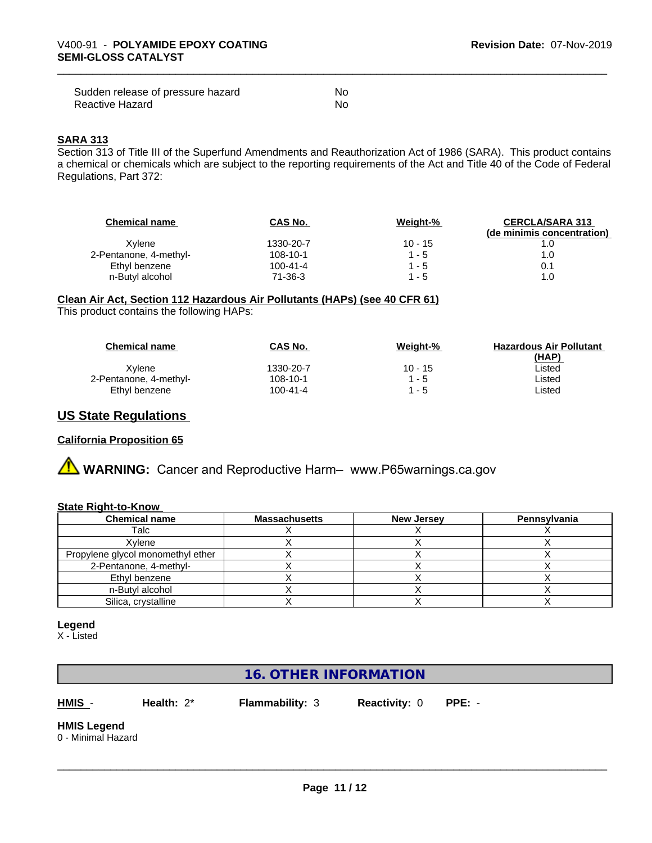| Sudden release of pressure hazard | No  |
|-----------------------------------|-----|
| Reactive Hazard                   | .No |

#### **SARA 313**

Section 313 of Title III of the Superfund Amendments and Reauthorization Act of 1986 (SARA). This product contains a chemical or chemicals which are subject to the reporting requirements of the Act and Title 40 of the Code of Federal Regulations, Part 372:

| <b>Chemical name</b>   | CAS No.        | Weight-%  | <b>CERCLA/SARA 313</b><br>(de minimis concentration) |
|------------------------|----------------|-----------|------------------------------------------------------|
| Xvlene                 | 1330-20-7      | $10 - 15$ |                                                      |
| 2-Pentanone, 4-methyl- | 108-10-1       | $1 - 5$   | 1.0                                                  |
| Ethyl benzene          | $100 - 41 - 4$ | $1 - 5$   | 0.1                                                  |
| n-Butyl alcohol        | 71-36-3        | $1 - 5$   | 1.0                                                  |

#### **Clean Air Act,Section 112 Hazardous Air Pollutants (HAPs) (see 40 CFR 61)**

This product contains the following HAPs:

| <b>Chemical name</b>   | CAS No.   | Weight-%  | <b>Hazardous Air Pollutant</b> |
|------------------------|-----------|-----------|--------------------------------|
|                        |           |           | (HAP)                          |
| Xvlene                 | 1330-20-7 | $10 - 15$ | _isted                         |
| 2-Pentanone, 4-methyl- | 108-10-1  | 1 - 5     | _isted                         |
| Ethyl benzene          | 100-41-4  | - 5       | _isted                         |

# **US State Regulations**

#### **California Proposition 65**

# **AVIMARNING:** Cancer and Reproductive Harm– www.P65warnings.ca.gov

#### **State Right-to-Know**

| <b>Chemical name</b>              | <b>Massachusetts</b> | <b>New Jersey</b> | Pennsylvania |
|-----------------------------------|----------------------|-------------------|--------------|
| Talc                              |                      |                   |              |
| Xvlene                            |                      |                   |              |
| Propylene glycol monomethyl ether |                      |                   |              |
| 2-Pentanone, 4-methyl-            |                      |                   |              |
| Ethyl benzene                     |                      |                   |              |
| n-Butyl alcohol                   |                      |                   |              |
| Silica, crystalline               |                      |                   |              |

#### **Legend**

X - Listed

# **16. OTHER INFORMATION**

**HMIS** - **Health:** 2\* **Flammability:** 3 **Reactivity:** 0 **PPE:** -

 $\overline{\phantom{a}}$  ,  $\overline{\phantom{a}}$  ,  $\overline{\phantom{a}}$  ,  $\overline{\phantom{a}}$  ,  $\overline{\phantom{a}}$  ,  $\overline{\phantom{a}}$  ,  $\overline{\phantom{a}}$  ,  $\overline{\phantom{a}}$  ,  $\overline{\phantom{a}}$  ,  $\overline{\phantom{a}}$  ,  $\overline{\phantom{a}}$  ,  $\overline{\phantom{a}}$  ,  $\overline{\phantom{a}}$  ,  $\overline{\phantom{a}}$  ,  $\overline{\phantom{a}}$  ,  $\overline{\phantom{a}}$ 

#### **HMIS Legend** 0 - Minimal Hazard